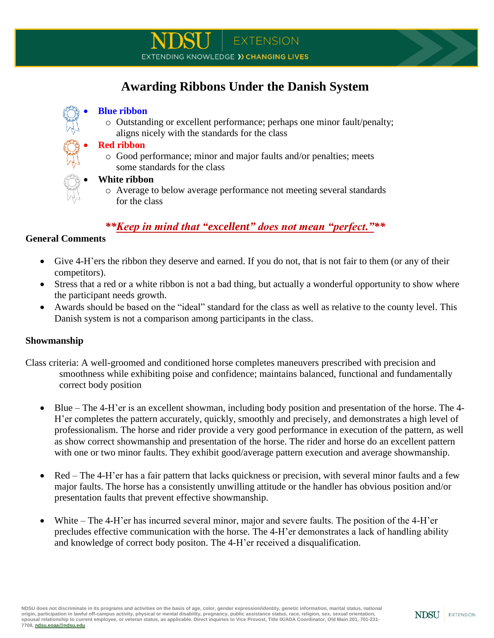# **Awarding Ribbons Under the Danish System**

#### **Blue ribbon**

o Outstanding or excellent performance; perhaps one minor fault/penalty; aligns nicely with the standards for the class

### **Red ribbon**

o Good performance; minor and major faults and/or penalties; meets some standards for the class

#### **White ribbon**

o Average to below average performance not meeting several standards for the class

## *\*\*Keep in mind that "excellent" does not mean "perfect."\*\**

## **General Comments**

- Give 4-H'ers the ribbon they deserve and earned. If you do not, that is not fair to them (or any of their competitors).
- Stress that a red or a white ribbon is not a bad thing, but actually a wonderful opportunity to show where the participant needs growth.
- Awards should be based on the "ideal" standard for the class as well as relative to the county level. This Danish system is not a comparison among participants in the class.

## **Showmanship**

- Class criteria: A well-groomed and conditioned horse completes maneuvers prescribed with precision and smoothness while exhibiting poise and confidence; maintains balanced, functional and fundamentally correct body position
	- Blue The 4-H'er is an excellent showman, including body position and presentation of the horse. The 4- H'er completes the pattern accurately, quickly, smoothly and precisely, and demonstrates a high level of professionalism. The horse and rider provide a very good performance in execution of the pattern, as well as show correct showmanship and presentation of the horse. The rider and horse do an excellent pattern with one or two minor faults. They exhibit good/average pattern execution and average showmanship.
	- Red The 4-H'er has a fair pattern that lacks quickness or precision, with several minor faults and a few major faults. The horse has a consistently unwilling attitude or the handler has obvious position and/or presentation faults that prevent effective showmanship.
	- White The 4-H'er has incurred several minor, major and severe faults. The position of the 4-H'er precludes effective communication with the horse. The 4-H'er demonstrates a lack of handling ability and knowledge of correct body positon. The 4-H'er received a disqualification.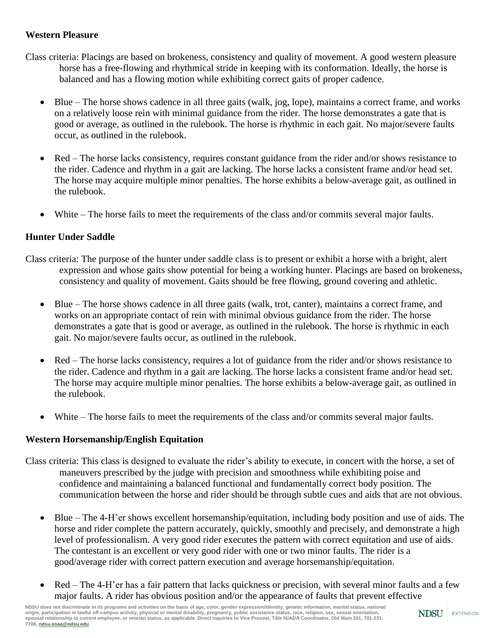## **Western Pleasure**

- Class criteria: Placings are based on brokeness, consistency and quality of movement. A good western pleasure horse has a free-flowing and rhythmical stride in keeping with its conformation. Ideally, the horse is balanced and has a flowing motion while exhibiting correct gaits of proper cadence.
	- Blue The horse shows cadence in all three gaits (walk, jog, lope), maintains a correct frame, and works on a relatively loose rein with minimal guidance from the rider. The horse demonstrates a gate that is good or average, as outlined in the rulebook. The horse is rhythmic in each gait. No major/severe faults occur, as outlined in the rulebook.
	- Red The horse lacks consistency, requires constant guidance from the rider and/or shows resistance to the rider. Cadence and rhythm in a gait are lacking. The horse lacks a consistent frame and/or head set. The horse may acquire multiple minor penalties. The horse exhibits a below-average gait, as outlined in the rulebook.
	- White The horse fails to meet the requirements of the class and/or commits several major faults.

## **Hunter Under Saddle**

- Class criteria: The purpose of the hunter under saddle class is to present or exhibit a horse with a bright, alert expression and whose gaits show potential for being a working hunter. Placings are based on brokeness, consistency and quality of movement. Gaits should be free flowing, ground covering and athletic.
	- Blue The horse shows cadence in all three gaits (walk, trot, canter), maintains a correct frame, and works on an appropriate contact of rein with minimal obvious guidance from the rider. The horse demonstrates a gate that is good or average, as outlined in the rulebook. The horse is rhythmic in each gait. No major/severe faults occur, as outlined in the rulebook.
	- Red The horse lacks consistency, requires a lot of guidance from the rider and/or shows resistance to the rider. Cadence and rhythm in a gait are lacking. The horse lacks a consistent frame and/or head set. The horse may acquire multiple minor penalties. The horse exhibits a below-average gait, as outlined in the rulebook.
	- White The horse fails to meet the requirements of the class and/or commits several major faults.

## **Western Horsemanship/English Equitation**

- Class criteria: This class is designed to evaluate the rider's ability to execute, in concert with the horse, a set of maneuvers prescribed by the judge with precision and smoothness while exhibiting poise and confidence and maintaining a balanced functional and fundamentally correct body position. The communication between the horse and rider should be through subtle cues and aids that are not obvious.
	- Blue The 4-H'er shows excellent horsemanship/equitation, including body position and use of aids. The horse and rider complete the pattern accurately, quickly, smoothly and precisely, and demonstrate a high level of professionalism. A very good rider executes the pattern with correct equitation and use of aids. The contestant is an excellent or very good rider with one or two minor faults. The rider is a good/average rider with correct pattern execution and average horsemanship/equitation.
	- Red The 4-H'er has a fair pattern that lacks quickness or precision, with several minor faults and a few major faults. A rider has obvious position and/or the appearance of faults that prevent effective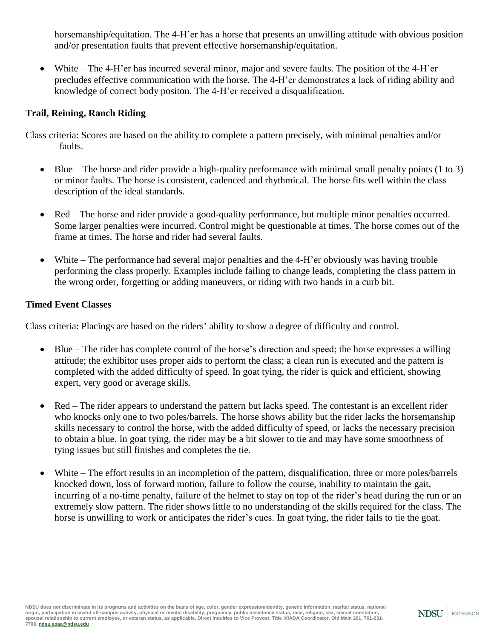horsemanship/equitation. The 4-H'er has a horse that presents an unwilling attitude with obvious position and/or presentation faults that prevent effective horsemanship/equitation.

 White – The 4-H'er has incurred several minor, major and severe faults. The position of the 4-H'er precludes effective communication with the horse. The 4-H'er demonstrates a lack of riding ability and knowledge of correct body positon. The 4-H'er received a disqualification.

## **Trail, Reining, Ranch Riding**

Class criteria: Scores are based on the ability to complete a pattern precisely, with minimal penalties and/or faults.

- $\bullet$  Blue The horse and rider provide a high-quality performance with minimal small penalty points (1 to 3) or minor faults. The horse is consistent, cadenced and rhythmical. The horse fits well within the class description of the ideal standards.
- Red The horse and rider provide a good-quality performance, but multiple minor penalties occurred. Some larger penalties were incurred. Control might be questionable at times. The horse comes out of the frame at times. The horse and rider had several faults.
- White The performance had several major penalties and the 4-H'er obviously was having trouble performing the class properly. Examples include failing to change leads, completing the class pattern in the wrong order, forgetting or adding maneuvers, or riding with two hands in a curb bit.

#### **Timed Event Classes**

Class criteria: Placings are based on the riders' ability to show a degree of difficulty and control.

- Blue The rider has complete control of the horse's direction and speed; the horse expresses a willing attitude; the exhibitor uses proper aids to perform the class; a clean run is executed and the pattern is completed with the added difficulty of speed. In goat tying, the rider is quick and efficient, showing expert, very good or average skills.
- Red The rider appears to understand the pattern but lacks speed. The contestant is an excellent rider who knocks only one to two poles/barrels. The horse shows ability but the rider lacks the horsemanship skills necessary to control the horse, with the added difficulty of speed, or lacks the necessary precision to obtain a blue. In goat tying, the rider may be a bit slower to tie and may have some smoothness of tying issues but still finishes and completes the tie.
- White The effort results in an incompletion of the pattern, disqualification, three or more poles/barrels knocked down, loss of forward motion, failure to follow the course, inability to maintain the gait, incurring of a no-time penalty, failure of the helmet to stay on top of the rider's head during the run or an extremely slow pattern. The rider shows little to no understanding of the skills required for the class. The horse is unwilling to work or anticipates the rider's cues. In goat tying, the rider fails to tie the goat.